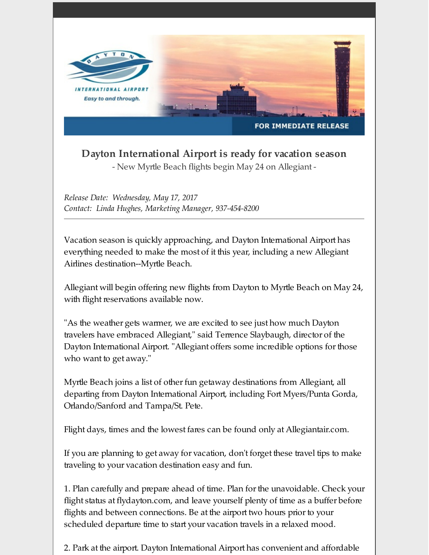

**Dayton International Airport is ready for vacation season**

- New Myrtle Beach flights begin May 24 on Allegiant -

*Release Date: Wednesday, May 17, 2017 Contact: Linda Hughes, Marketing Manager, 937-454-8200*

Vacation season is quickly approaching, and Dayton International Airport has everything needed to make the most of it this year, including a new Allegiant Airlines destination--Myrtle Beach.

Allegiant will begin offering new flights from Dayton to Myrtle Beach on May 24, with flight reservations available now.

"As the weather gets warmer, we are excited to see just how much Dayton travelers have embraced Allegiant," said Terrence Slaybaugh, director of the Dayton International Airport. "Allegiant offers some incredible options for those who want to get away."

Myrtle Beach joins a list of other fun getaway destinations from Allegiant, all departing from Dayton International Airport, including Fort Myers/Punta Gorda, Orlando/Sanford and Tampa/St. Pete.

Flight days, times and the lowest fares can be found only at Allegiantair.com.

If you are planning to get away for vacation, don't forget these travel tips to make traveling to your vacation destination easy and fun.

1. Plan carefully and prepare ahead of time. Plan forthe unavoidable. Check your flight status at flydayton.com, and leave yourself plenty of time as a buffer before flights and between connections. Be at the airport two hours prior to your scheduled departure time to start your vacation travels in a relaxed mood.

2. Park at the airport. Dayton International Airport has convenient and affordable